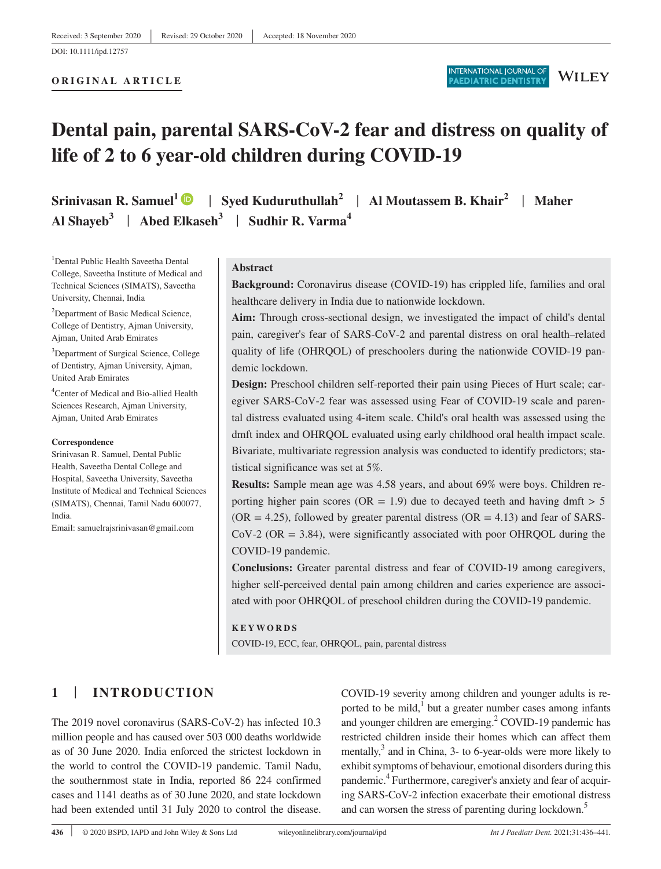#### **ORIGINAL ARTICLE**



# **Dental pain, parental SARS-CoV-2 fear and distress on quality of life of 2 to 6 year-old children during COVID-19**

**Srinivasan R. Samuel<sup>1</sup>** | **Syed Kuduruthullah<sup>2</sup>** | **Al Moutassem B. Khair<sup>2</sup>** | **Maher Al Shayeb<sup>3</sup>** | **Abed Elkaseh<sup>3</sup>** | **Sudhir R. Varma<sup>4</sup>**

<sup>1</sup>Dental Public Health Saveetha Dental College, Saveetha Institute of Medical and Technical Sciences (SIMATS), Saveetha University, Chennai, India

<sup>2</sup>Department of Basic Medical Science, College of Dentistry, Ajman University, Ajman, United Arab Emirates

<sup>3</sup>Department of Surgical Science, College of Dentistry, Ajman University, Ajman, United Arab Emirates

<sup>4</sup>Center of Medical and Bio-allied Health Sciences Research, Ajman University, Ajman, United Arab Emirates

#### **Correspondence**

Srinivasan R. Samuel, Dental Public Health, Saveetha Dental College and Hospital, Saveetha University, Saveetha Institute of Medical and Technical Sciences (SIMATS), Chennai, Tamil Nadu 600077, India.

Email: samuelrajsrinivasan@gmail.com

## **Abstract**

**Background:** Coronavirus disease (COVID-19) has crippled life, families and oral healthcare delivery in India due to nationwide lockdown.

**Aim:** Through cross-sectional design, we investigated the impact of child's dental pain, caregiver's fear of SARS-CoV-2 and parental distress on oral health–related quality of life (OHRQOL) of preschoolers during the nationwide COVID-19 pandemic lockdown.

**Design:** Preschool children self-reported their pain using Pieces of Hurt scale; caregiver SARS-CoV-2 fear was assessed using Fear of COVID-19 scale and parental distress evaluated using 4-item scale. Child's oral health was assessed using the dmft index and OHRQOL evaluated using early childhood oral health impact scale. Bivariate, multivariate regression analysis was conducted to identify predictors; statistical significance was set at 5%.

**Results:** Sample mean age was 4.58 years, and about 69% were boys. Children reporting higher pain scores (OR = 1.9) due to decayed teeth and having dmft  $> 5$  $(OR = 4.25)$ , followed by greater parental distress  $(OR = 4.13)$  and fear of SARS- $CoV-2$  ( $OR = 3.84$ ), were significantly associated with poor OHRQOL during the COVID-19 pandemic.

**Conclusions:** Greater parental distress and fear of COVID-19 among caregivers, higher self-perceived dental pain among children and caries experience are associated with poor OHRQOL of preschool children during the COVID-19 pandemic.

#### **KEYWORDS**

COVID-19, ECC, fear, OHRQOL, pain, parental distress

# **1** | **INTRODUCTION**

The 2019 novel coronavirus (SARS-CoV-2) has infected 10.3 million people and has caused over 503 000 deaths worldwide as of 30 June 2020. India enforced the strictest lockdown in the world to control the COVID-19 pandemic. Tamil Nadu, the southernmost state in India, reported 86 224 confirmed cases and 1141 deaths as of 30 June 2020, and state lockdown had been extended until 31 July 2020 to control the disease.

COVID-19 severity among children and younger adults is reported to be mild, $1$  but a greater number cases among infants and younger children are emerging.<sup>2</sup> COVID-19 pandemic has restricted children inside their homes which can affect them mentally, $3$  and in China,  $3$ - to 6-year-olds were more likely to exhibit symptoms of behaviour, emotional disorders during this pandemic.<sup>4</sup> Furthermore, caregiver's anxiety and fear of acquiring SARS-CoV-2 infection exacerbate their emotional distress and can worsen the stress of parenting during lockdown.<sup>5</sup>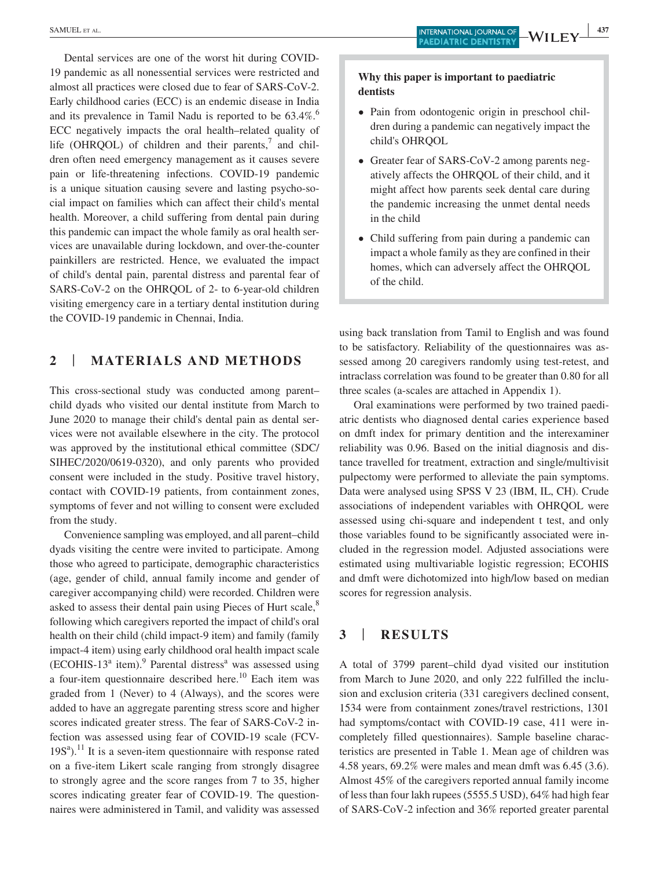Dental services are one of the worst hit during COVID-19 pandemic as all nonessential services were restricted and almost all practices were closed due to fear of SARS-CoV-2. Early childhood caries (ECC) is an endemic disease in India and its prevalence in Tamil Nadu is reported to be 63.4%.<sup>6</sup> ECC negatively impacts the oral health–related quality of life (OHRQOL) of children and their parents, $\alpha$  and children often need emergency management as it causes severe pain or life-threatening infections. COVID-19 pandemic is a unique situation causing severe and lasting psycho-social impact on families which can affect their child's mental health. Moreover, a child suffering from dental pain during this pandemic can impact the whole family as oral health services are unavailable during lockdown, and over-the-counter painkillers are restricted. Hence, we evaluated the impact of child's dental pain, parental distress and parental fear of SARS-CoV-2 on the OHRQOL of 2- to 6-year-old children visiting emergency care in a tertiary dental institution during the COVID-19 pandemic in Chennai, India.

# **2** | **MATERIALS AND METHODS**

This cross-sectional study was conducted among parent– child dyads who visited our dental institute from March to June 2020 to manage their child's dental pain as dental services were not available elsewhere in the city. The protocol was approved by the institutional ethical committee (SDC/ SIHEC/2020/0619-0320), and only parents who provided consent were included in the study. Positive travel history, contact with COVID-19 patients, from containment zones, symptoms of fever and not willing to consent were excluded from the study.

Convenience sampling was employed, and all parent–child dyads visiting the centre were invited to participate. Among those who agreed to participate, demographic characteristics (age, gender of child, annual family income and gender of caregiver accompanying child) were recorded. Children were asked to assess their dental pain using Pieces of Hurt scale,<sup>8</sup> following which caregivers reported the impact of child's oral health on their child (child impact-9 item) and family (family impact-4 item) using early childhood oral health impact scale  $(ECOHIS-13<sup>a</sup> item)<sup>9</sup>$  Parental distress<sup>a</sup> was assessed using a four-item questionnaire described here.<sup>10</sup> Each item was graded from 1 (Never) to 4 (Always), and the scores were added to have an aggregate parenting stress score and higher scores indicated greater stress. The fear of SARS-CoV-2 infection was assessed using fear of COVID-19 scale (FCV- $19S<sup>a</sup>$ <sup>11</sup> It is a seven-item questionnaire with response rated on a five-item Likert scale ranging from strongly disagree to strongly agree and the score ranges from 7 to 35, higher scores indicating greater fear of COVID-19. The questionnaires were administered in Tamil, and validity was assessed

## **Why this paper is important to paediatric dentists**

- Pain from odontogenic origin in preschool children during a pandemic can negatively impact the child's OHRQOL
- Greater fear of SARS-CoV-2 among parents negatively affects the OHRQOL of their child, and it might affect how parents seek dental care during the pandemic increasing the unmet dental needs in the child
- Child suffering from pain during a pandemic can impact a whole family as they are confined in their homes, which can adversely affect the OHRQOL of the child.

using back translation from Tamil to English and was found to be satisfactory. Reliability of the questionnaires was assessed among 20 caregivers randomly using test-retest, and intraclass correlation was found to be greater than 0.80 for all three scales (a-scales are attached in Appendix 1).

Oral examinations were performed by two trained paediatric dentists who diagnosed dental caries experience based on dmft index for primary dentition and the interexaminer reliability was 0.96. Based on the initial diagnosis and distance travelled for treatment, extraction and single/multivisit pulpectomy were performed to alleviate the pain symptoms. Data were analysed using SPSS V 23 (IBM, IL, CH). Crude associations of independent variables with OHRQOL were assessed using chi-square and independent t test, and only those variables found to be significantly associated were included in the regression model. Adjusted associations were estimated using multivariable logistic regression; ECOHIS and dmft were dichotomized into high/low based on median scores for regression analysis.

# **3** | **RESULTS**

A total of 3799 parent–child dyad visited our institution from March to June 2020, and only 222 fulfilled the inclusion and exclusion criteria (331 caregivers declined consent, 1534 were from containment zones/travel restrictions, 1301 had symptoms/contact with COVID-19 case, 411 were incompletely filled questionnaires). Sample baseline characteristics are presented in Table 1. Mean age of children was 4.58 years, 69.2% were males and mean dmft was 6.45 (3.6). Almost 45% of the caregivers reported annual family income of less than four lakh rupees (5555.5 USD), 64% had high fear of SARS-CoV-2 infection and 36% reported greater parental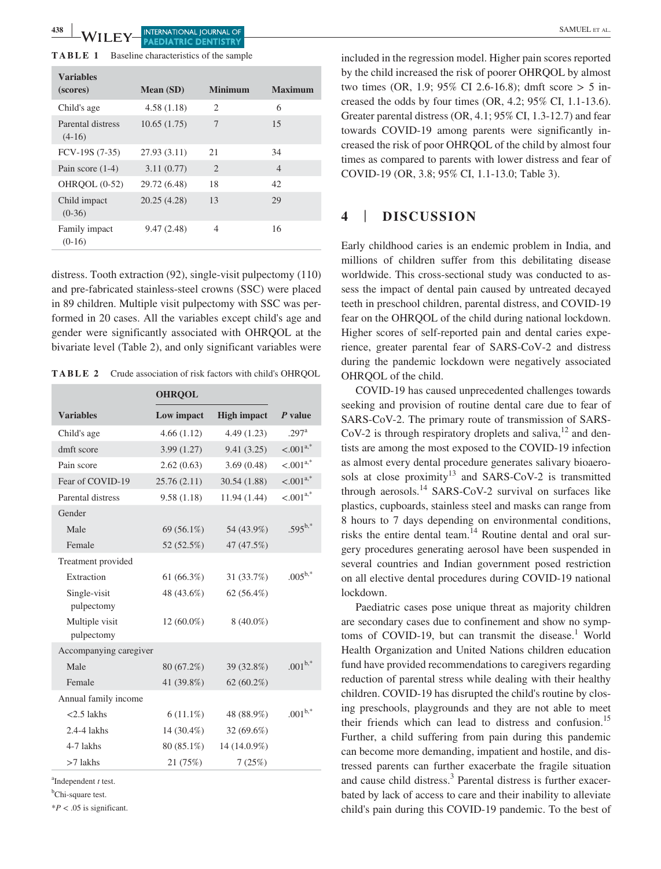| Baseline characteristics of the sample |
|----------------------------------------|
|                                        |

| <b>Variables</b>              |              |                             |                |
|-------------------------------|--------------|-----------------------------|----------------|
| (scores)                      | Mean (SD)    | <b>Minimum</b>              | <b>Maximum</b> |
| Child's age                   | 4.58(1.18)   | $\mathfrak{D}$              | 6              |
| Parental distress<br>$(4-16)$ | 10.65(1.75)  | 7                           | 15             |
| FCV-19S (7-35)                | 27.93(3.11)  | 21                          | 34             |
| Pain score $(1-4)$            | 3.11(0.77)   | $\mathcal{D}_{\mathcal{L}}$ | $\overline{4}$ |
| OHROOL (0-52)                 | 29.72 (6.48) | 18                          | 42             |
| Child impact<br>$(0-36)$      | 20.25 (4.28) | 13                          | 29             |
| Family impact<br>$(0-16)$     | 9.47(2.48)   | 4                           | 16             |

distress. Tooth extraction (92), single-visit pulpectomy (110) and pre-fabricated stainless-steel crowns (SSC) were placed in 89 children. Multiple visit pulpectomy with SSC was performed in 20 cases. All the variables except child's age and gender were significantly associated with OHRQOL at the bivariate level (Table 2), and only significant variables were

**TABLE 2** Crude association of risk factors with child's OHRQOL

|                              | <b>OHRQOL</b> |                    |                     |
|------------------------------|---------------|--------------------|---------------------|
| <b>Variables</b>             | Low impact    | <b>High impact</b> | P value             |
| Child's age                  | 4.66(1.12)    | 4.49(1.23)         | $.297$ <sup>a</sup> |
| dmft score                   | 3.99(1.27)    | 9.41(3.25)         | $\leq 0.01^{a,*}$   |
| Pain score                   | 2.62(0.63)    | 3.69(0.48)         | $< .001^{a,*}$      |
| Fear of COVID-19             | 25.76(2.11)   | 30.54 (1.88)       | $< .001^{a,*}$      |
| Parental distress            | 9.58(1.18)    | 11.94 (1.44)       | $< .001^{a,*}$      |
| Gender                       |               |                    |                     |
| Male                         | 69 (56.1%)    | 54 (43.9%)         | $.595^{b,*}$        |
| Female                       | 52 (52.5%)    | 47 (47.5%)         |                     |
| Treatment provided           |               |                    |                     |
| Extraction                   | 61(66.3%)     | 31 (33.7%)         | $.005^{b,*}$        |
| Single-visit<br>pulpectomy   | 48 (43.6%)    | 62(56.4%)          |                     |
| Multiple visit<br>pulpectomy | $12(60.0\%)$  | $8(40.0\%)$        |                     |
| Accompanying caregiver       |               |                    |                     |
| Male                         | 80 (67.2%)    | 39 (32.8%)         | $.001^{b,*}$        |
| Female                       | 41 (39.8%)    | $62(60.2\%)$       |                     |
| Annual family income         |               |                    |                     |
| $<$ 2.5 lakhs                | $6(11.1\%)$   | 48 (88.9%)         | $.001^{b,*}$        |
| 2.4-4 lakhs                  | $14(30.4\%)$  | $32(69.6\%)$       |                     |
| 4-7 lakhs                    | 80 (85.1%)    | 14 (14.0.9%)       |                     |
| $>7$ lakhs                   | 21 (75%)      | 7(25%)             |                     |

a Independent *t* test.

<sup>b</sup>Chi-square test.

\**P* < .05 is significant.

included in the regression model. Higher pain scores reported by the child increased the risk of poorer OHRQOL by almost two times (OR, 1.9; 95% CI 2.6-16.8); dmft score  $> 5$  increased the odds by four times (OR, 4.2; 95% CI, 1.1-13.6). Greater parental distress (OR, 4.1; 95% CI, 1.3-12.7) and fear towards COVID-19 among parents were significantly increased the risk of poor OHRQOL of the child by almost four times as compared to parents with lower distress and fear of COVID-19 (OR, 3.8; 95% CI, 1.1-13.0; Table 3).

# **4** | **DISCUSSION**

Early childhood caries is an endemic problem in India, and millions of children suffer from this debilitating disease worldwide. This cross-sectional study was conducted to assess the impact of dental pain caused by untreated decayed teeth in preschool children, parental distress, and COVID-19 fear on the OHRQOL of the child during national lockdown. Higher scores of self-reported pain and dental caries experience, greater parental fear of SARS-CoV-2 and distress during the pandemic lockdown were negatively associated OHRQOL of the child.

COVID-19 has caused unprecedented challenges towards seeking and provision of routine dental care due to fear of SARS-CoV-2. The primary route of transmission of SARS-CoV-2 is through respiratory droplets and saliva, $^{12}$  and dentists are among the most exposed to the COVID-19 infection as almost every dental procedure generates salivary bioaerosols at close proximity<sup>13</sup> and SARS-CoV-2 is transmitted through aerosols.<sup>14</sup> SARS-CoV-2 survival on surfaces like plastics, cupboards, stainless steel and masks can range from 8 hours to 7 days depending on environmental conditions, risks the entire dental team.<sup>14</sup> Routine dental and oral surgery procedures generating aerosol have been suspended in several countries and Indian government posed restriction on all elective dental procedures during COVID-19 national lockdown.

Paediatric cases pose unique threat as majority children are secondary cases due to confinement and show no symptoms of COVID-19, but can transmit the disease.<sup>1</sup> World Health Organization and United Nations children education fund have provided recommendations to caregivers regarding reduction of parental stress while dealing with their healthy children. COVID-19 has disrupted the child's routine by closing preschools, playgrounds and they are not able to meet their friends which can lead to distress and confusion.<sup>15</sup> Further, a child suffering from pain during this pandemic can become more demanding, impatient and hostile, and distressed parents can further exacerbate the fragile situation and cause child distress.<sup>3</sup> Parental distress is further exacerbated by lack of access to care and their inability to alleviate child's pain during this COVID-19 pandemic. To the best of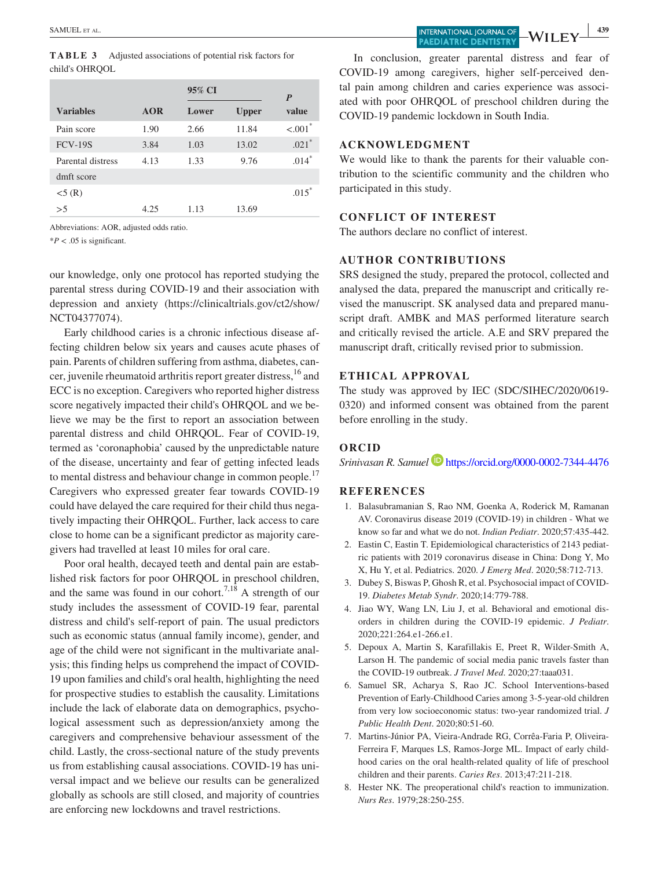| TABLE 3        | Adjusted associations of potential risk factors for |
|----------------|-----------------------------------------------------|
| child's OHROOL |                                                     |

|                   |            | 95% CI |              | P       |
|-------------------|------------|--------|--------------|---------|
| <b>Variables</b>  | <b>AOR</b> | Lower  | <b>Upper</b> | value   |
| Pain score        | 1.90       | 2.66   | 11.84        | < 0.01  |
| <b>FCV-19S</b>    | 3.84       | 1.03   | 13.02        | $.021*$ |
| Parental distress | 4.13       | 1.33   | 9.76         | $.014*$ |
| dmft score        |            |        |              |         |
| $<$ 5 (R)         |            |        |              | $.015*$ |
| >5                | 4.25       | 1.13   | 13.69        |         |

Abbreviations: AOR, adjusted odds ratio.

 $*P < .05$  is significant.

our knowledge, only one protocol has reported studying the parental stress during COVID-19 and their association with depression and anxiety (https://clinicaltrials.gov/ct2/show/ NCT04377074).

Early childhood caries is a chronic infectious disease affecting children below six years and causes acute phases of pain. Parents of children suffering from asthma, diabetes, cancer, juvenile rheumatoid arthritis report greater distress, <sup>16</sup> and ECC is no exception. Caregivers who reported higher distress score negatively impacted their child's OHRQOL and we believe we may be the first to report an association between parental distress and child OHRQOL. Fear of COVID-19, termed as 'coronaphobia' caused by the unpredictable nature of the disease, uncertainty and fear of getting infected leads to mental distress and behaviour change in common people.<sup>17</sup> Caregivers who expressed greater fear towards COVID-19 could have delayed the care required for their child thus negatively impacting their OHRQOL. Further, lack access to care close to home can be a significant predictor as majority caregivers had travelled at least 10 miles for oral care.

Poor oral health, decayed teeth and dental pain are established risk factors for poor OHRQOL in preschool children, and the same was found in our cohort.<sup>7,18</sup> A strength of our study includes the assessment of COVID-19 fear, parental distress and child's self-report of pain. The usual predictors such as economic status (annual family income), gender, and age of the child were not significant in the multivariate analysis; this finding helps us comprehend the impact of COVID-19 upon families and child's oral health, highlighting the need for prospective studies to establish the causality. Limitations include the lack of elaborate data on demographics, psychological assessment such as depression/anxiety among the caregivers and comprehensive behaviour assessment of the child. Lastly, the cross-sectional nature of the study prevents us from establishing causal associations. COVID-19 has universal impact and we believe our results can be generalized globally as schools are still closed, and majority of countries are enforcing new lockdowns and travel restrictions.

SAMUEL ET AL. **439 PAEDIATRIC DENTISTRY** 

 $\cdot$   $\cdot$   $\cdot$   $\perp$ 

In conclusion, greater parental distress and fear of COVID-19 among caregivers, higher self-perceived dental pain among children and caries experience was associated with poor OHRQOL of preschool children during the COVID-19 pandemic lockdown in South India.

## **ACKNOWLEDGMENT**

We would like to thank the parents for their valuable contribution to the scientific community and the children who participated in this study.

### **CONFLICT OF INTEREST**

The authors declare no conflict of interest.

## **AUTHOR CONTRIBUTIONS**

SRS designed the study, prepared the protocol, collected and analysed the data, prepared the manuscript and critically revised the manuscript. SK analysed data and prepared manuscript draft. AMBK and MAS performed literature search and critically revised the article. A.E and SRV prepared the manuscript draft, critically revised prior to submission.

### **ETHICAL APPROVAL**

The study was approved by IEC (SDC/SIHEC/2020/0619- 0320) and informed consent was obtained from the parent before enrolling in the study.

#### **ORCID**

*Srinivasan R. Samuel* https://orcid.org/0000-0002-7344-4476

#### **REFERENCES**

- 1. Balasubramanian S, Rao NM, Goenka A, Roderick M, Ramanan AV. Coronavirus disease 2019 (COVID-19) in children - What we know so far and what we do not. *Indian Pediatr*. 2020;57:435-442.
- 2. Eastin C, Eastin T. Epidemiological characteristics of 2143 pediatric patients with 2019 coronavirus disease in China: Dong Y, Mo X, Hu Y, et al. Pediatrics. 2020. *J Emerg Med*. 2020;58:712-713.
- 3. Dubey S, Biswas P, Ghosh R, et al. Psychosocial impact of COVID-19. *Diabetes Metab Syndr*. 2020;14:779-788.
- 4. Jiao WY, Wang LN, Liu J, et al. Behavioral and emotional disorders in children during the COVID-19 epidemic. *J Pediatr*. 2020;221:264.e1-266.e1.
- 5. Depoux A, Martin S, Karafillakis E, Preet R, Wilder-Smith A, Larson H. The pandemic of social media panic travels faster than the COVID-19 outbreak. *J Travel Med*. 2020;27:taaa031.
- 6. Samuel SR, Acharya S, Rao JC. School Interventions-based Prevention of Early-Childhood Caries among 3-5-year-old children from very low socioeconomic status: two-year randomized trial. *J Public Health Dent*. 2020;80:51-60.
- 7. Martins-Júnior PA, Vieira-Andrade RG, Corrêa-Faria P, Oliveira-Ferreira F, Marques LS, Ramos-Jorge ML. Impact of early childhood caries on the oral health-related quality of life of preschool children and their parents. *Caries Res*. 2013;47:211-218.
- Hester NK. The preoperational child's reaction to immunization. *Nurs Res*. 1979;28:250-255.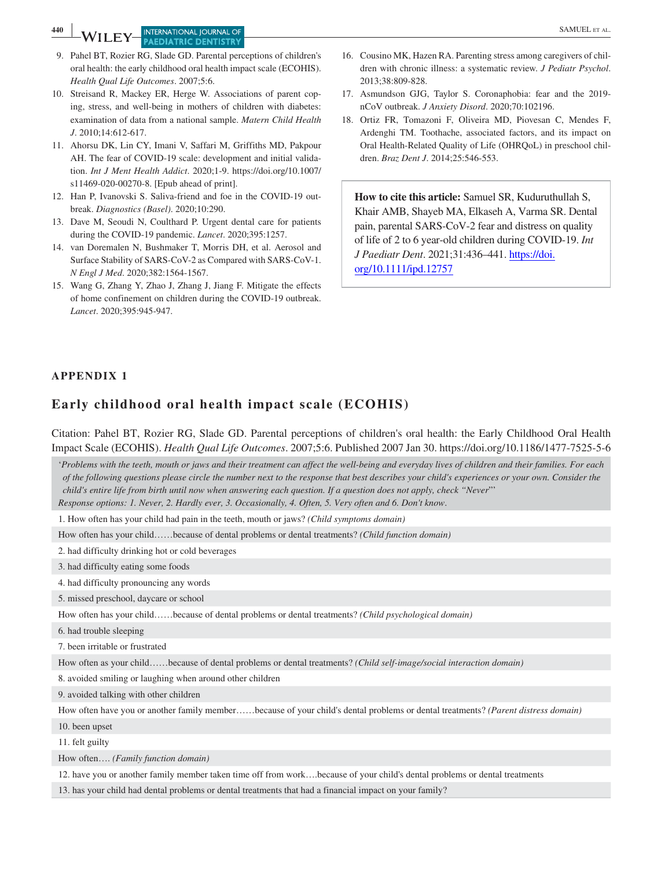**PAEDIATRIC DENTISTRY** 

- 9. Pahel BT, Rozier RG, Slade GD. Parental perceptions of children's oral health: the early childhood oral health impact scale (ECOHIS). *Health Qual Life Outcomes*. 2007;5:6.
- 10. Streisand R, Mackey ER, Herge W. Associations of parent coping, stress, and well-being in mothers of children with diabetes: examination of data from a national sample. *Matern Child Health J*. 2010;14:612-617.
- 11. Ahorsu DK, Lin CY, Imani V, Saffari M, Griffiths MD, Pakpour AH. The fear of COVID-19 scale: development and initial validation. *Int J Ment Health Addict*. 2020;1-9. https://doi.org/10.1007/ s11469-020-00270-8. [Epub ahead of print].
- 12. Han P, Ivanovski S. Saliva-friend and foe in the COVID-19 outbreak. *Diagnostics (Basel)*. 2020;10:290.
- 13. Dave M, Seoudi N, Coulthard P. Urgent dental care for patients during the COVID-19 pandemic. *Lancet*. 2020;395:1257.
- 14. van Doremalen N, Bushmaker T, Morris DH, et al. Aerosol and Surface Stability of SARS-CoV-2 as Compared with SARS-CoV-1. *N Engl J Med*. 2020;382:1564-1567.
- 15. Wang G, Zhang Y, Zhao J, Zhang J, Jiang F. Mitigate the effects of home confinement on children during the COVID-19 outbreak. *Lancet*. 2020;395:945-947.
- 16. Cousino MK, Hazen RA. Parenting stress among caregivers of children with chronic illness: a systematic review. *J Pediatr Psychol*. 2013;38:809-828.
- 17. Asmundson GJG, Taylor S. Coronaphobia: fear and the 2019 nCoV outbreak. *J Anxiety Disord*. 2020;70:102196.
- 18. Ortiz FR, Tomazoni F, Oliveira MD, Piovesan C, Mendes F, Ardenghi TM. Toothache, associated factors, and its impact on Oral Health-Related Quality of Life (OHRQoL) in preschool children. *Braz Dent J*. 2014;25:546-553.

**How to cite this article:** Samuel SR, Kuduruthullah S, Khair AMB, Shayeb MA, Elkaseh A, Varma SR. Dental pain, parental SARS-CoV-2 fear and distress on quality of life of 2 to 6 year-old children during COVID-19. *Int J Paediatr Dent*. 2021;31:436–441. https://doi. org/10.1111/ipd.12757

## **APPENDIX 1**

# **Early childhood oral health impact scale (ECOHIS)**

Citation: Pahel BT, Rozier RG, Slade GD. Parental perceptions of children's oral health: the Early Childhood Oral Health Impact Scale (ECOHIS). *Health Qual Life Outcomes*. 2007;5:6. Published 2007 Jan 30. https://doi.org/10.1186/1477-7525-5-6

'*Problems with the teeth, mouth or jaws and their treatment can affect the well-being and everyday lives of children and their families. For each of the following questions please circle the number next to the response that best describes your child's experiences or your own. Consider the child's entire life from birth until now when answering each question. If a question does not apply, check "Never*"' *Response options: 1. Never, 2. Hardly ever, 3. Occasionally, 4. Often, 5. Very often and 6. Don't know*.

1. How often has your child had pain in the teeth, mouth or jaws? *(Child symptoms domain)*

How often has your child……because of dental problems or dental treatments? *(Child function domain)*

2. had difficulty drinking hot or cold beverages

3. had difficulty eating some foods

4. had difficulty pronouncing any words

5. missed preschool, daycare or school

How often has your child……because of dental problems or dental treatments? *(Child psychological domain)*

6. had trouble sleeping

7. been irritable or frustrated

How often as your child……because of dental problems or dental treatments? *(Child self-image/social interaction domain)*

8. avoided smiling or laughing when around other children

9. avoided talking with other children

How often have you or another family member……because of your child's dental problems or dental treatments? *(Parent distress domain)*

10. been upset

11. felt guilty

How often…. *(Family function domain)*

12. have you or another family member taken time off from work….because of your child's dental problems or dental treatments

13. has your child had dental problems or dental treatments that had a financial impact on your family?

**<sup>440</sup><sup>|</sup>**